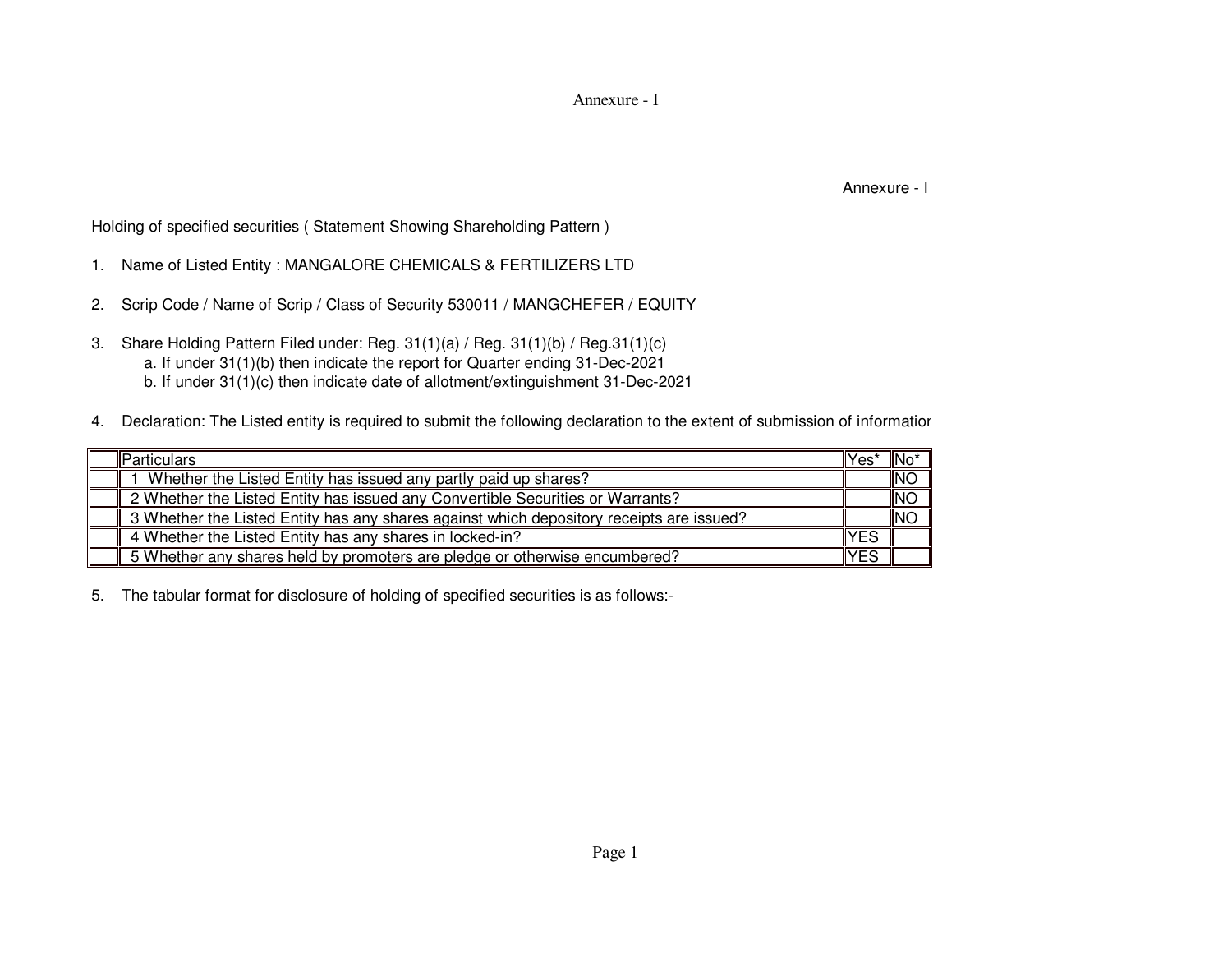Annexure - I

Annexure - I

Holding of specified securities ( Statement Showing Shareholding Pattern )

- 1. Name of Listed Entity : MANGALORE CHEMICALS & FERTILIZERS LTD
- 2. Scrip Code / Name of Scrip / Class of Security 530011 / MANGCHEFER / EQUITY
- 3. Share Holding Pattern Filed under: Reg. 31(1)(a) / Reg. 31(1)(b) / Reg.31(1)(c) a. If under 31(1)(b) then indicate the report for Quarter ending 31-Dec-2021b. If under 31(1)(c) then indicate date of allotment/extinguishment 31-Dec-2021
- 4. Declaration: The Listed entity is required to submit the following declaration to the extent of submission of information

| llParticulars                                                                            | llYes'      | IN <sub>O</sub> |
|------------------------------------------------------------------------------------------|-------------|-----------------|
| Whether the Listed Entity has issued any partly paid up shares?                          |             | <b>INC</b>      |
| 2 Whether the Listed Entity has issued any Convertible Securities or Warrants?           |             | <b>INO</b>      |
| 3 Whether the Listed Entity has any shares against which depository receipts are issued? |             | INC             |
| 4 Whether the Listed Entity has any shares in locked-in?                                 | <b>IYES</b> |                 |
| 5 Whether any shares held by promoters are pledge or otherwise encumbered?               | <b>YES</b>  |                 |

5. The tabular format for disclosure of holding of specified securities is as follows:-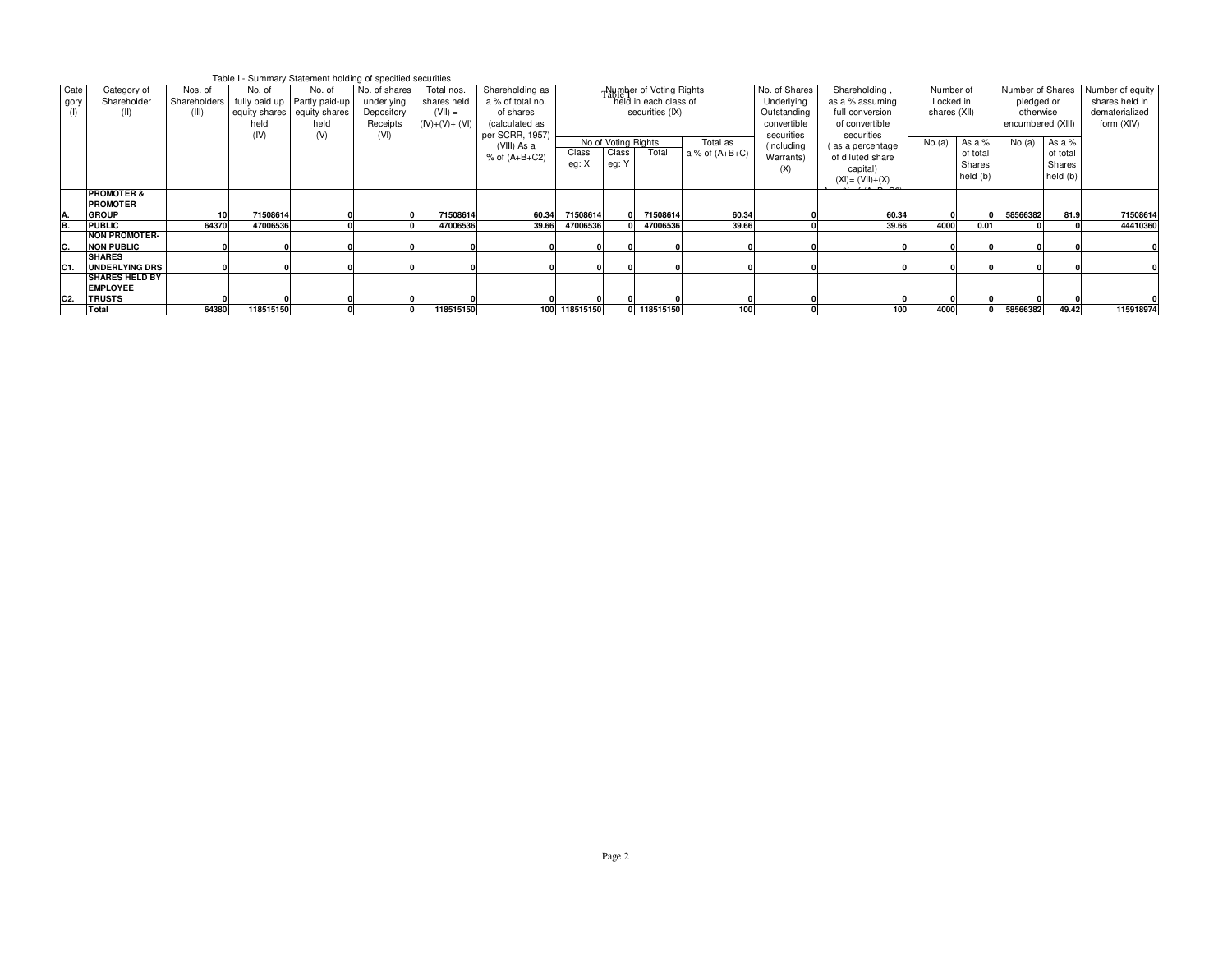|      |                       |              |           | Table I - Summary Statement holding of specified securities |               |                |                   |               |                     |                             |                  |               |                    |              |          |                   |          |                  |
|------|-----------------------|--------------|-----------|-------------------------------------------------------------|---------------|----------------|-------------------|---------------|---------------------|-----------------------------|------------------|---------------|--------------------|--------------|----------|-------------------|----------|------------------|
| Cate | Category of           | Nos. of      | No. of    | No. of                                                      | No. of shares | Total nos.     | Shareholding as   |               |                     | Taking ber of Voting Rights |                  | No. of Shares | Shareholding,      | Number of    |          | Number of Shares  |          | Number of equity |
| gory | Shareholder           | Shareholders |           | fully paid up Partly paid-up                                | underlying    | shares held    | a % of total no.  |               |                     | held in each class of       |                  | Underlying    | as a % assuming    | Locked in    |          | pledged or        |          | shares held in   |
|      | (II)                  | (III)        |           | equity shares equity shares                                 | Depository    | $(VII) =$      | of shares         |               |                     | securities (IX)             |                  | Outstanding   | full conversion    | shares (XII) |          | otherwise         |          | dematerialized   |
|      |                       |              | held      | held                                                        | Receipts      | $(IV)+(V)+(V)$ | (calculated as    |               |                     |                             |                  | convertible   | of convertible     |              |          | encumbered (XIII) |          | form (XIV)       |
|      |                       |              | (IV)      | (V)                                                         | (VI)          |                | per SCRR, 1957)   |               |                     |                             |                  | securities    | securities         |              |          |                   |          |                  |
|      |                       |              |           |                                                             |               |                | (VIII) As a       |               | No of Votina Riahts |                             | Total as         | (including    | as a percentage    | No.(a)       | As a %   | No.(a)            | As a %   |                  |
|      |                       |              |           |                                                             |               |                | $%$ of $(A+B+C2)$ | Class         | Class               | Total                       | a % of $(A+B+C)$ | Warrants)     | of diluted share   |              | of total |                   | of total |                  |
|      |                       |              |           |                                                             |               |                |                   | eg: X         | eg: Y               |                             |                  | (X)           | capital)           |              | Shares   |                   | Shares   |                  |
|      |                       |              |           |                                                             |               |                |                   |               |                     |                             |                  |               | $(XI) = (VII)+(X)$ |              | held (b) |                   | held (b) |                  |
|      | <b>PROMOTER &amp;</b> |              |           |                                                             |               |                |                   |               |                     |                             |                  |               |                    |              |          |                   |          |                  |
|      | <b>PROMOTER</b>       |              |           |                                                             |               |                |                   |               |                     |                             |                  |               |                    |              |          |                   |          |                  |
|      | <b>GROUP</b>          | 10           | 71508614  |                                                             |               | 71508614       | 60.34             | 71508614      |                     | 71508614                    | 60.34            |               | 60.34              |              |          | 58566382          | 81.9     | 71508614         |
|      | <b>PUBLIC</b>         | 64370        | 47006536  |                                                             |               | 47006536       | 39.66             | 47006536      |                     | 47006536                    | 39.66            |               | 39.66              | 4000         | 0.01     |                   |          | 44410360         |
|      | <b>NON PROMOTER-</b>  |              |           |                                                             |               |                |                   |               |                     |                             |                  |               |                    |              |          |                   |          |                  |
| C.   | <b>NON PUBLIC</b>     |              |           |                                                             |               |                |                   |               |                     |                             |                  |               |                    |              |          |                   |          |                  |
|      | <b>SHARES</b>         |              |           |                                                             |               |                |                   |               |                     |                             |                  |               |                    |              |          |                   |          |                  |
| IC1  | <b>UNDERLYING DRS</b> |              |           |                                                             |               |                |                   |               |                     |                             |                  |               |                    |              |          |                   |          |                  |
|      | <b>SHARES HELD BY</b> |              |           |                                                             |               |                |                   |               |                     |                             |                  |               |                    |              |          |                   |          |                  |
|      | <b>EMPLOYEE</b>       |              |           |                                                             |               |                |                   |               |                     |                             |                  |               |                    |              |          |                   |          |                  |
| C2.  | <b>TRUSTS</b>         |              |           |                                                             |               |                |                   |               |                     |                             |                  |               |                    |              |          |                   |          |                  |
|      | Total                 | 64380        | 118515150 |                                                             |               | 118515150      |                   | 100 118515150 |                     | 0 118515150                 | 100              |               | 100                | 4000         |          | 58566382          | 49.42    | 115918974        |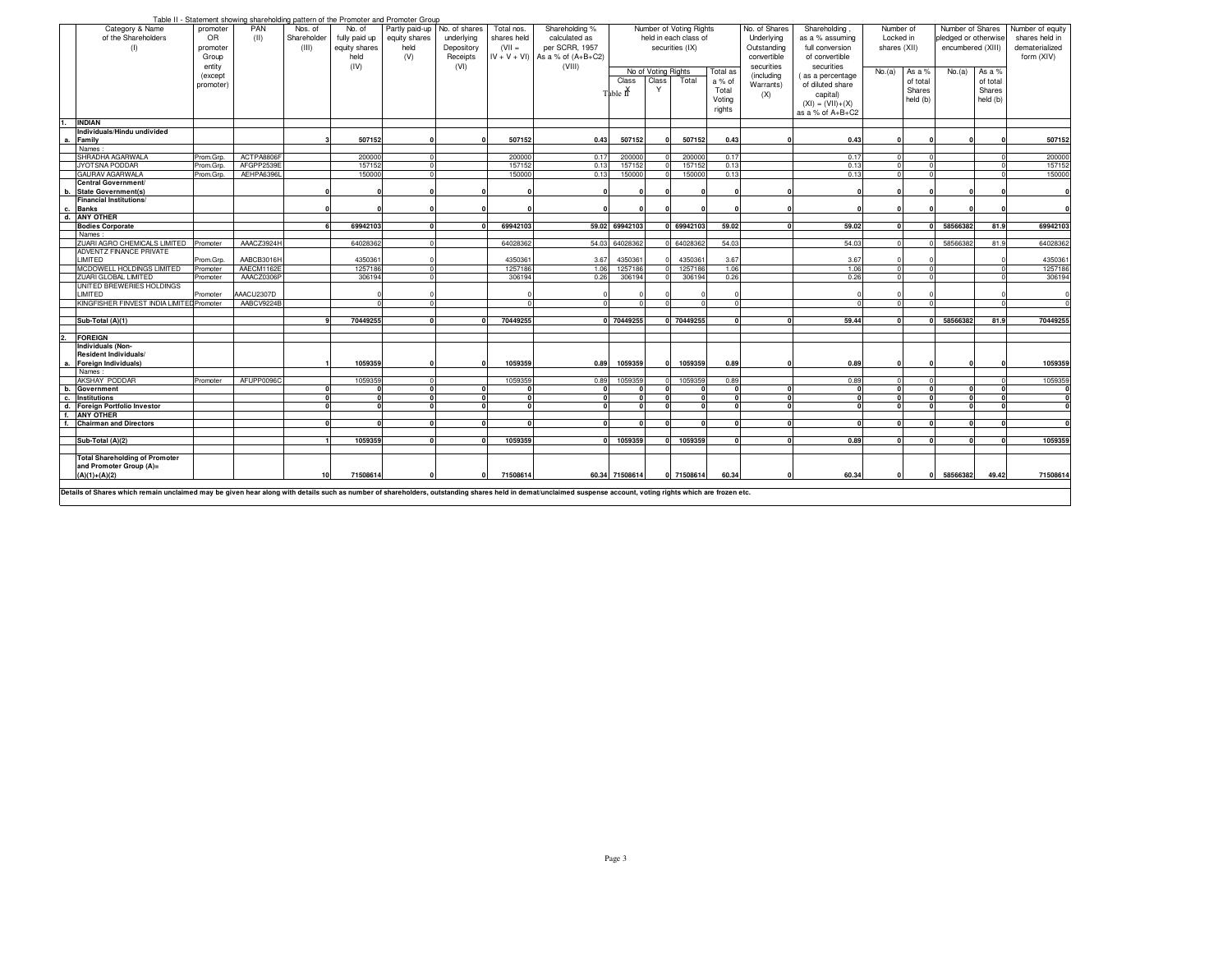| Table II - Statement showing shareholding pattern of the Promoter and Promoter Group<br>PAN<br>No. of Shares<br>Category & Name<br>Nos. of<br>No. of<br>Partly paid-up No. of shares<br>Shareholding %<br>Number of Voting Rights<br>Shareholding<br>Number of Shares<br>promoter<br>Total nos.<br>Number of |                                                                                                                                                                                                                |           |            |             |               |               |            |              |                                      |                |                     |                       |                 |              |                    |              |              |                      |              |                  |
|--------------------------------------------------------------------------------------------------------------------------------------------------------------------------------------------------------------------------------------------------------------------------------------------------------------|----------------------------------------------------------------------------------------------------------------------------------------------------------------------------------------------------------------|-----------|------------|-------------|---------------|---------------|------------|--------------|--------------------------------------|----------------|---------------------|-----------------------|-----------------|--------------|--------------------|--------------|--------------|----------------------|--------------|------------------|
|                                                                                                                                                                                                                                                                                                              |                                                                                                                                                                                                                |           |            |             |               |               |            |              |                                      |                |                     |                       |                 |              |                    |              |              |                      |              | Number of equity |
|                                                                                                                                                                                                                                                                                                              | of the Shareholders                                                                                                                                                                                            | OR        | (11)       | Shareholder | fully paid up | equity shares | underlying | shares held  | calculated as                        |                |                     | held in each class of |                 | Underlying   | as a % assuming    | Locked in    |              | pledged or otherwise |              | shares held in   |
|                                                                                                                                                                                                                                                                                                              | (1)                                                                                                                                                                                                            | promoter  |            | (III)       | equity shares | held          | Depository | $(VII =$     | per SCRR, 1957                       |                |                     | securities (IX)       |                 | Outstanding  | full conversion    | shares (XII) |              | encumbered (XIII)    |              | dematerialized   |
|                                                                                                                                                                                                                                                                                                              |                                                                                                                                                                                                                | Group     |            |             | held          | (V)           | Receipts   |              | $IV + V + VI$ ) As a % of $(A+B+C2)$ |                |                     |                       |                 | convertible  | of convertible     |              |              |                      |              | form (XIV)       |
|                                                                                                                                                                                                                                                                                                              |                                                                                                                                                                                                                | entity    |            |             | (IV)          |               | (VI)       |              | (VIII)                               |                |                     |                       |                 | securities   | securities         |              |              |                      |              |                  |
|                                                                                                                                                                                                                                                                                                              |                                                                                                                                                                                                                |           |            |             |               |               |            |              |                                      |                | No of Voting Rights |                       | <b>Total</b> as |              |                    | No.(a)       | As a %       | No.(a)               | As a %       |                  |
|                                                                                                                                                                                                                                                                                                              |                                                                                                                                                                                                                | (except   |            |             |               |               |            |              |                                      | Class          | Class               | Total                 | a % of          | (including   | as a percentage    |              | of total     |                      | of total     |                  |
|                                                                                                                                                                                                                                                                                                              |                                                                                                                                                                                                                | promoter) |            |             |               |               |            |              |                                      | Table n        | $\mathsf{Y}$        |                       | Total           | Warrants)    | of diluted share   |              | Shares       |                      | Shares       |                  |
|                                                                                                                                                                                                                                                                                                              |                                                                                                                                                                                                                |           |            |             |               |               |            |              |                                      |                |                     |                       | Voting          | (X)          | capital)           |              | held (b)     |                      | held (b)     |                  |
|                                                                                                                                                                                                                                                                                                              |                                                                                                                                                                                                                |           |            |             |               |               |            |              |                                      |                |                     |                       |                 |              | $(XI) = (VII)+(X)$ |              |              |                      |              |                  |
|                                                                                                                                                                                                                                                                                                              |                                                                                                                                                                                                                |           |            |             |               |               |            |              |                                      |                |                     |                       | rights          |              | as a % of A+B+C2   |              |              |                      |              |                  |
|                                                                                                                                                                                                                                                                                                              | <b>INDIAN</b>                                                                                                                                                                                                  |           |            |             |               |               |            |              |                                      |                |                     |                       |                 |              |                    |              |              |                      |              |                  |
|                                                                                                                                                                                                                                                                                                              | Individuals/Hindu undivided                                                                                                                                                                                    |           |            |             |               |               |            |              |                                      |                |                     |                       |                 |              |                    |              |              |                      |              |                  |
|                                                                                                                                                                                                                                                                                                              | a. Family                                                                                                                                                                                                      |           |            |             | 507152        |               |            | 507152       | 0.43                                 | 507152         |                     | 507152                | 0.43            |              | 0.43               |              |              |                      |              | 507152           |
|                                                                                                                                                                                                                                                                                                              | Names                                                                                                                                                                                                          |           |            |             |               |               |            |              |                                      |                |                     |                       |                 |              |                    |              |              |                      |              |                  |
|                                                                                                                                                                                                                                                                                                              | SHRADHA AGARWALA                                                                                                                                                                                               | Prom.Grp. | ACTPA8806F |             | 200000        |               |            | 200000       | 0.17                                 | 200000         |                     | 200000                | 0.17            |              | 0.17               | $\Omega$     | $\Omega$     |                      |              | 200000           |
|                                                                                                                                                                                                                                                                                                              | JYOTSNA PODDAR                                                                                                                                                                                                 | Prom.Grp. | AFGPP2539E |             | 157152        |               |            | 157152       | 0.13                                 | 157152         |                     | 157152                | 0.13            |              | 0.13               | $\Omega$     | $\Omega$     |                      |              | 157152           |
|                                                                                                                                                                                                                                                                                                              | GAURAV AGARWALA                                                                                                                                                                                                | Prom.Grp. | AEHPA6396L |             | 150000        |               |            | 150000       | 0.13                                 | 150000         |                     | 150000                | 0.13            |              | 0.13               | $\Omega$     | n.           |                      |              | 150000           |
|                                                                                                                                                                                                                                                                                                              | Central Government/                                                                                                                                                                                            |           |            |             |               |               |            |              |                                      |                |                     |                       |                 |              |                    |              |              |                      |              |                  |
|                                                                                                                                                                                                                                                                                                              | b. State Government(s)                                                                                                                                                                                         |           |            |             |               |               |            |              |                                      |                |                     |                       |                 |              |                    |              |              |                      |              |                  |
|                                                                                                                                                                                                                                                                                                              | <b>Financial Institutions/</b>                                                                                                                                                                                 |           |            |             |               |               |            |              |                                      |                |                     |                       |                 |              |                    |              |              |                      |              |                  |
|                                                                                                                                                                                                                                                                                                              | c. Banks                                                                                                                                                                                                       |           |            |             |               |               |            |              |                                      |                |                     |                       |                 |              |                    |              |              |                      |              | $\mathbf{0}$     |
|                                                                                                                                                                                                                                                                                                              | d. ANY OTHER                                                                                                                                                                                                   |           |            |             |               |               |            |              |                                      |                |                     |                       |                 |              |                    |              |              |                      |              |                  |
|                                                                                                                                                                                                                                                                                                              | <b>Bodies Corporate</b>                                                                                                                                                                                        |           |            |             | 69942103      |               |            | 69942103     |                                      | 59.02 69942103 |                     | 69942103              | 59.02           | $\mathbf{0}$ | 59.02              | 0            | οI           | 58566382             | 81.9         | 69942103         |
|                                                                                                                                                                                                                                                                                                              | Names:                                                                                                                                                                                                         |           |            |             |               |               |            |              |                                      |                |                     |                       |                 |              |                    |              |              |                      |              |                  |
|                                                                                                                                                                                                                                                                                                              | ZUARI AGRO CHEMICALS LIMITED                                                                                                                                                                                   | Promoter  | AAACZ3924H |             | 64028362      |               |            | 64028362     |                                      | 54.03 64028362 |                     | 64028362              | 54.03           |              | 54.03              | $\Omega$     | $\Omega$     | 58566382             | 81.9         | 64028362         |
|                                                                                                                                                                                                                                                                                                              | ADVENTZ FINANCE PRIVATE                                                                                                                                                                                        |           |            |             |               |               |            |              |                                      |                |                     |                       |                 |              |                    |              |              |                      |              |                  |
|                                                                                                                                                                                                                                                                                                              | LIMITED                                                                                                                                                                                                        | Prom.Grp  | AABCB3016H |             | 435036        |               |            | 4350361      | 3.67                                 | 4350361        |                     | 4350361               | 3.67            |              | 3.67               |              |              |                      |              | 4350361          |
|                                                                                                                                                                                                                                                                                                              | MCDOWELL HOLDINGS LIMITED                                                                                                                                                                                      | Promoter  | AAECM1162E |             | 1257186       |               |            | 1257186      | 1.06                                 | 1257186        |                     | 1257186               | 1.06            |              | 1.06               | $\Omega$     | $\Omega$     |                      |              | 1257186          |
|                                                                                                                                                                                                                                                                                                              | ZUARI GLOBAL LIMITED                                                                                                                                                                                           | Promoter  | AAACZ0306P |             | 306194        |               |            | 306194       | 0.26                                 | 306194         |                     | 306194                | 0.26            |              | 0.26               | $\Omega$     | n.           |                      |              | 306194           |
|                                                                                                                                                                                                                                                                                                              | UNITED BREWERIES HOLDINGS                                                                                                                                                                                      |           |            |             |               |               |            |              |                                      |                |                     |                       |                 |              |                    |              |              |                      |              |                  |
|                                                                                                                                                                                                                                                                                                              | LIMITED                                                                                                                                                                                                        | Promoter  | AAACU2307D |             |               |               |            |              |                                      |                |                     |                       |                 |              |                    |              |              |                      |              |                  |
|                                                                                                                                                                                                                                                                                                              | KINGFISHER FINVEST INDIA LIMITED Promoter                                                                                                                                                                      |           | AABCV9224B |             |               |               |            |              |                                      |                |                     |                       |                 |              |                    | $\Omega$     | $\Omega$     |                      |              |                  |
|                                                                                                                                                                                                                                                                                                              |                                                                                                                                                                                                                |           |            |             |               |               |            |              |                                      |                |                     |                       |                 |              |                    |              |              |                      |              |                  |
|                                                                                                                                                                                                                                                                                                              | Sub-Total (A)(1)                                                                                                                                                                                               |           |            |             | 70449255      |               |            | 70449255     |                                      | 0 70449255     |                     | 70449255              |                 |              | 59.44              | nl           | 0l           | 58566382             | 81.9         | 70449255         |
|                                                                                                                                                                                                                                                                                                              |                                                                                                                                                                                                                |           |            |             |               |               |            |              |                                      |                |                     |                       |                 |              |                    |              |              |                      |              |                  |
|                                                                                                                                                                                                                                                                                                              | <b>FOREIGN</b>                                                                                                                                                                                                 |           |            |             |               |               |            |              |                                      |                |                     |                       |                 |              |                    |              |              |                      |              |                  |
|                                                                                                                                                                                                                                                                                                              | Individuals (Non-                                                                                                                                                                                              |           |            |             |               |               |            |              |                                      |                |                     |                       |                 |              |                    |              |              |                      |              |                  |
|                                                                                                                                                                                                                                                                                                              | Resident Individuals/                                                                                                                                                                                          |           |            |             | 1059359       |               |            | 1059359      | 0.89                                 | 1059359        |                     | 1059359               | 0.89            |              | 0.89               |              | n            |                      |              | 1059359          |
|                                                                                                                                                                                                                                                                                                              | a. Foreign Individuals)                                                                                                                                                                                        |           |            |             |               |               |            |              |                                      |                |                     |                       |                 |              |                    |              |              |                      |              |                  |
|                                                                                                                                                                                                                                                                                                              | Names:<br>AKSHAY PODDAR                                                                                                                                                                                        | Promoter  | AFUPP0096C |             | 1059359       |               |            | 1059359      | 0.89                                 | 1059359        |                     | 1059359               | 0.89            |              | 0.89               | $\Omega$     | n            |                      |              | 1059359          |
|                                                                                                                                                                                                                                                                                                              | b. Government                                                                                                                                                                                                  |           |            | ol          |               | nl            |            | $\Omega$     | $\Omega$                             |                |                     | n                     |                 | $\Omega$     | $\Omega$           | <sup>0</sup> | 0            | $\mathbf{0}$         | $\Omega$     | $\mathbf 0$      |
|                                                                                                                                                                                                                                                                                                              | c. Institutions                                                                                                                                                                                                |           |            | $\Omega$    |               |               |            | $\Omega$     | $\mathbf{r}$                         | n              |                     | $\Omega$              |                 | $\mathbf{u}$ | $\Omega$           | $\mathbf{0}$ | 0            | $\Omega$             | $\mathbf{r}$ | $\mathbf 0$      |
|                                                                                                                                                                                                                                                                                                              | d. Foreign Portfolio Investor                                                                                                                                                                                  |           |            |             |               |               |            | $\mathbf{r}$ | $\Omega$                             |                |                     |                       |                 | U            |                    | $\mathbf{r}$ | U            |                      |              | $\mathbf 0$      |
|                                                                                                                                                                                                                                                                                                              | f. ANY OTHER                                                                                                                                                                                                   |           |            |             |               |               |            |              |                                      |                |                     |                       |                 |              |                    |              |              |                      |              |                  |
|                                                                                                                                                                                                                                                                                                              | f. Chairman and Directors                                                                                                                                                                                      |           |            | $\Omega$    |               |               |            | $\mathbf{r}$ | $\Omega$                             | n              |                     | $\sqrt{2}$            |                 | $\mathbf{u}$ | $\Omega$           | nl           | $\Omega$     | U                    |              | $\Omega$         |
|                                                                                                                                                                                                                                                                                                              |                                                                                                                                                                                                                |           |            |             |               |               |            |              |                                      |                |                     |                       |                 |              |                    |              |              |                      |              |                  |
|                                                                                                                                                                                                                                                                                                              | Sub-Total (A)(2)                                                                                                                                                                                               |           |            |             | 1059359       |               |            | 1059359      |                                      | 0 1059359      |                     | 1059359               |                 | $\mathbf{a}$ | 0.89               | $\mathbf{r}$ | $\mathbf{r}$ | $\mathbf{r}$         |              | 1059359          |
|                                                                                                                                                                                                                                                                                                              |                                                                                                                                                                                                                |           |            |             |               |               |            |              |                                      |                |                     |                       |                 |              |                    |              |              |                      |              |                  |
|                                                                                                                                                                                                                                                                                                              | <b>Total Shareholding of Promoter</b>                                                                                                                                                                          |           |            |             |               |               |            |              |                                      |                |                     |                       |                 |              |                    |              |              |                      |              |                  |
|                                                                                                                                                                                                                                                                                                              | and Promoter Group (A)=                                                                                                                                                                                        |           |            |             |               |               |            |              |                                      |                |                     |                       |                 |              |                    |              |              |                      |              |                  |
|                                                                                                                                                                                                                                                                                                              | $(A)(1)+(A)(2)$                                                                                                                                                                                                |           |            | 10          | 71508614      |               |            | 71508614     |                                      | 60.34 71508614 |                     | 0 71508614            | 60.34           |              | 60.34              |              | 0            | 58566382             | 49.42        | 71508614         |
|                                                                                                                                                                                                                                                                                                              |                                                                                                                                                                                                                |           |            |             |               |               |            |              |                                      |                |                     |                       |                 |              |                    |              |              |                      |              |                  |
|                                                                                                                                                                                                                                                                                                              | Details of Shares which remain unclaimed may be given hear along with details such as number of shareholders, outstanding shares held in demat/unclaimed suspense account, voting rights which are frozen etc. |           |            |             |               |               |            |              |                                      |                |                     |                       |                 |              |                    |              |              |                      |              |                  |
|                                                                                                                                                                                                                                                                                                              |                                                                                                                                                                                                                |           |            |             |               |               |            |              |                                      |                |                     |                       |                 |              |                    |              |              |                      |              |                  |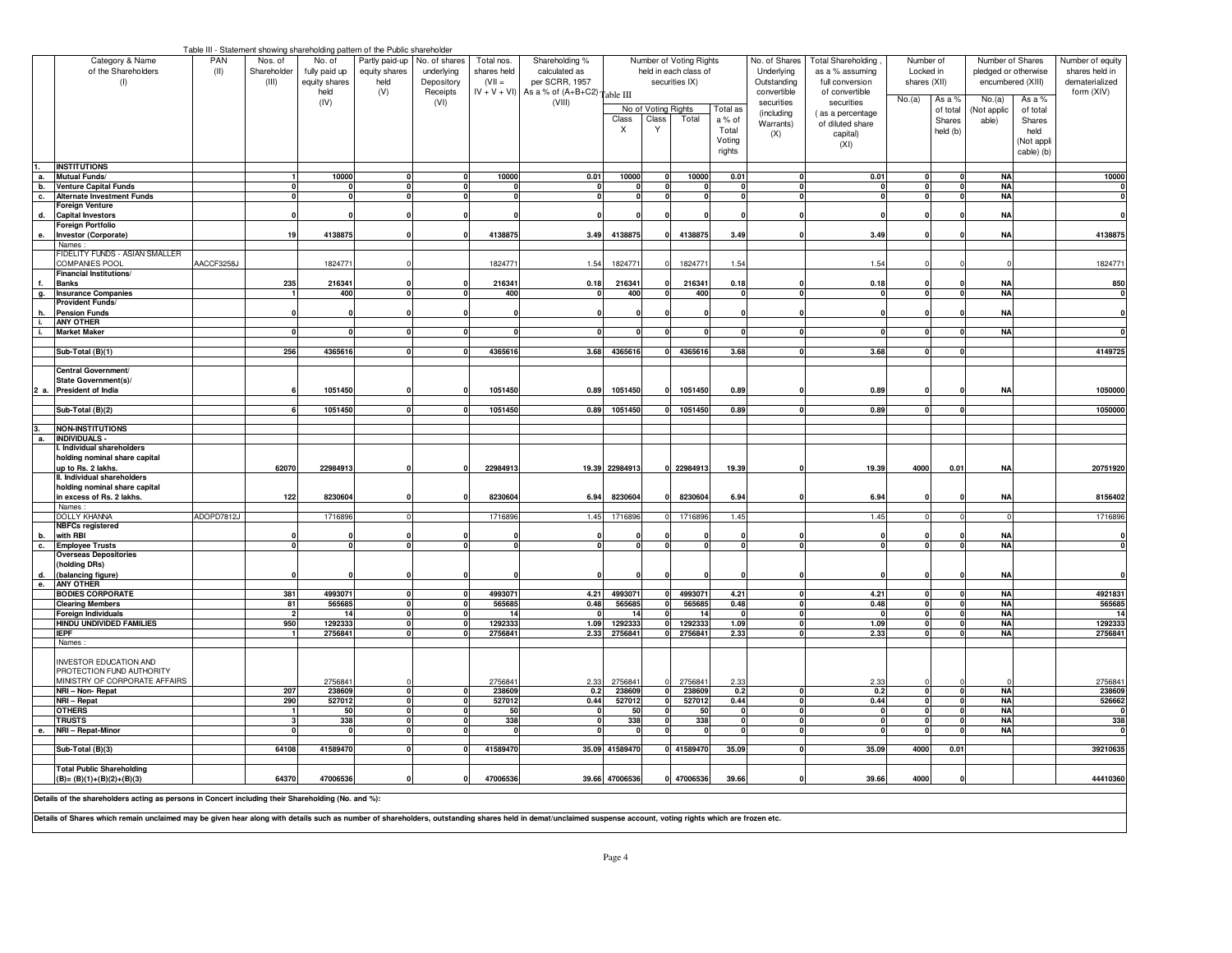|           |                                                                                                    |            |             |               | Table III - Statement showing shareholding pattern of the Public shareholder |               |               |                                            |                |                              |                         |                                        |                          |                           |                              |                              |                        |            |                         |
|-----------|----------------------------------------------------------------------------------------------------|------------|-------------|---------------|------------------------------------------------------------------------------|---------------|---------------|--------------------------------------------|----------------|------------------------------|-------------------------|----------------------------------------|--------------------------|---------------------------|------------------------------|------------------------------|------------------------|------------|-------------------------|
|           | Category & Name                                                                                    | PAN        | Nos. of     | No. of        | Partly paid-up                                                               | No. of shares | Total nos.    | Shareholding %                             |                |                              | Number of Voting Rights |                                        | No. of Shares            | <b>Total Shareholding</b> | Number of                    |                              | Number of Shares       |            | Number of equity        |
|           | of the Shareholders                                                                                | (II)       | Shareholder | fully paid up | equity shares                                                                | underlying    | shares held   | calculated as                              |                |                              | held in each class of   |                                        | Underlying               | as a % assuming           | Locked in                    |                              | pledged or otherwise   |            | shares held in          |
|           | (1)                                                                                                |            | (III)       | equity shares | held                                                                         | Depository    | $(VII =$      | per SCRR, 1957                             |                |                              | securities IX)          |                                        | Outstanding              | full conversion           | shares (XII)                 |                              | encumbered (XIII)      |            | dematerialized          |
|           |                                                                                                    |            |             | held          | (V)                                                                          | Receipts      |               | $ V + V + V $ As a % of (A+B+C2) Table III |                |                              |                         |                                        | convertible              | of convertible            | No.(a)                       | As a %                       | No.(a)                 | As a %     | form (XIV)              |
|           |                                                                                                    |            |             | (IV)          |                                                                              | (VI)          |               | (VIII)                                     |                | No of Voting Rights          |                         | Total as                               | securities               | securities                |                              | of total                     | Not applic             | of total   |                         |
|           |                                                                                                    |            |             |               |                                                                              |               |               |                                            | Class          | Class                        | Total                   | a % of                                 | (including               | (as a percentage          |                              | Shares                       | able)                  | Shares     |                         |
|           |                                                                                                    |            |             |               |                                                                              |               |               |                                            | $\times$       | Y                            |                         | Total                                  | Warrants)                | of diluted share          |                              | held (b)                     |                        | held       |                         |
|           |                                                                                                    |            |             |               |                                                                              |               |               |                                            |                |                              |                         | Voting                                 | (X)                      | capital)                  |                              |                              |                        | (Not appli |                         |
|           |                                                                                                    |            |             |               |                                                                              |               |               |                                            |                |                              |                         | rights                                 |                          | (XI)                      |                              |                              |                        | cable) (b) |                         |
|           |                                                                                                    |            |             |               |                                                                              |               |               |                                            |                |                              |                         |                                        |                          |                           |                              |                              |                        |            |                         |
| 1.        | <b>INSTITUTIONS</b>                                                                                |            |             |               |                                                                              |               |               |                                            |                |                              |                         |                                        |                          |                           |                              |                              |                        |            |                         |
| a.        | <b>Mutual Funds/</b>                                                                               |            |             | 10000         |                                                                              |               | 10000         | 0.01                                       | 10000          | $\Omega$<br>$\mathbf 0$      | 10000                   | 0.01                                   |                          | 0.01                      |                              |                              | <b>NA</b>              |            | 10000                   |
| b.<br>с.  | <b>Venture Capital Funds</b><br><b>Alternate Investment Funds</b>                                  |            |             |               |                                                                              | $\sqrt{2}$    | $\sqrt{2}$    | $\Omega$                                   | $\mathbf{0}$   | $\mathbf{o}$                 |                         | $\mathbf{0}$                           | $\mathsf{d}$             | $\Omega$                  | $\Omega$                     | $\Omega$                     | <b>NA</b><br><b>NA</b> |            | $\overline{\mathbf{0}}$ |
|           | Foreign Venture                                                                                    |            |             |               |                                                                              |               |               |                                            |                |                              |                         |                                        |                          |                           |                              |                              |                        |            |                         |
| d.        | <b>Capital Investors</b>                                                                           |            |             |               |                                                                              |               |               |                                            |                |                              |                         | $\mathbf{0}$                           |                          |                           | n                            |                              | <b>NA</b>              |            | $\mathbf{0}$            |
|           | Foreign Portfolio                                                                                  |            |             |               |                                                                              |               |               |                                            |                |                              |                         |                                        |                          |                           |                              |                              |                        |            |                         |
| e.        | <b>Investor (Corporate)</b>                                                                        |            | 19          | 4138875       |                                                                              |               | 413887        | 3.49                                       | 4138875        |                              | 4138875                 | 3.49                                   |                          | 3.49                      |                              |                              | <b>NA</b>              |            | 4138875                 |
|           | Names:                                                                                             |            |             |               |                                                                              |               |               |                                            |                |                              |                         |                                        |                          |                           |                              |                              |                        |            |                         |
|           | FIDELITY FUNDS - ASIAN SMALLER                                                                     |            |             |               |                                                                              |               |               |                                            |                |                              |                         |                                        |                          |                           |                              |                              |                        |            |                         |
|           | COMPANIES POOL                                                                                     | AACCF3258J |             | 182477        |                                                                              |               | 182477        | 1.54                                       | 182477         |                              | 182477                  | 1.54                                   |                          | 1.54                      |                              |                              |                        |            | 1824771                 |
| f.        | <b>Financial Institutions/</b>                                                                     |            | 235         | 216341        |                                                                              |               | 216341        | 0.18                                       | 216341         |                              | 216341                  | 0.18                                   |                          | 0.18                      |                              |                              | N/                     |            | 850                     |
|           | <b>Banks</b><br><b>Insurance Companies</b>                                                         |            |             | 400           |                                                                              |               | 400           |                                            | 400            | $\Omega$                     | 400                     | $\Omega$                               |                          |                           |                              |                              | <b>NA</b>              |            | $\Omega$                |
| <b>g.</b> | Provident Funds/                                                                                   |            |             |               |                                                                              |               |               |                                            |                |                              |                         |                                        |                          |                           |                              |                              |                        |            |                         |
| h.        | <b>Pension Funds</b>                                                                               |            |             |               |                                                                              |               |               | $\Omega$                                   |                |                              |                         | $\Omega$                               |                          |                           |                              |                              | <b>NA</b>              |            | $\Omega$                |
| ī.        | <b>ANY OTHER</b>                                                                                   |            |             |               |                                                                              |               |               |                                            |                |                              |                         |                                        |                          |                           |                              |                              |                        |            |                         |
| i.        | <b>Market Maker</b>                                                                                |            |             |               |                                                                              |               |               | $\mathbf{0}$                               | 0              |                              |                         | $\mathbf{0}$                           |                          | $\Omega$                  |                              |                              | <b>NA</b>              |            | $\mathbf 0$             |
|           |                                                                                                    |            |             |               |                                                                              |               |               |                                            |                |                              |                         |                                        |                          |                           |                              |                              |                        |            |                         |
|           | Sub-Total (B)(1)                                                                                   |            | 256         | 4365616       |                                                                              |               | 4365616       | 3.68                                       | 4365616        |                              | 4365616                 | 3.68                                   |                          | 3.68                      | $\Omega$                     |                              |                        |            | 4149725                 |
|           |                                                                                                    |            |             |               |                                                                              |               |               |                                            |                |                              |                         |                                        |                          |                           |                              |                              |                        |            |                         |
|           | Central Government/<br>State Government(s)/                                                        |            |             |               |                                                                              |               |               |                                            |                |                              |                         |                                        |                          |                           |                              |                              |                        |            |                         |
|           | 2 a. President of India                                                                            |            |             | 1051450       |                                                                              |               | 1051450       | 0.89                                       | 1051450        |                              | 1051450                 | 0.89                                   |                          | 0.89                      |                              |                              | <b>NA</b>              |            | 1050000                 |
|           |                                                                                                    |            |             |               |                                                                              |               |               |                                            |                |                              |                         |                                        |                          |                           |                              |                              |                        |            |                         |
|           | Sub-Total (B)(2)                                                                                   |            |             | 1051450       |                                                                              |               | 1051450       | 0.89                                       | 1051450        |                              | 1051450                 | 0.89                                   |                          | 0.89                      | $\Omega$                     |                              |                        |            | 1050000                 |
|           |                                                                                                    |            |             |               |                                                                              |               |               |                                            |                |                              |                         |                                        |                          |                           |                              |                              |                        |            |                         |
|           | <b>NON-INSTITUTIONS</b>                                                                            |            |             |               |                                                                              |               |               |                                            |                |                              |                         |                                        |                          |                           |                              |                              |                        |            |                         |
|           | a. INDIVIDUALS -                                                                                   |            |             |               |                                                                              |               |               |                                            |                |                              |                         |                                        |                          |                           |                              |                              |                        |            |                         |
|           | I. Individual shareholders                                                                         |            |             |               |                                                                              |               |               |                                            |                |                              |                         |                                        |                          |                           |                              |                              |                        |            |                         |
|           | holding nominal share capital<br>up to Rs. 2 lakhs.                                                |            | 62070       | 22984913      |                                                                              |               | 22984913      |                                            | 19.39 22984913 |                              | 22984913                | 19.39                                  |                          | 19.39                     | 4000                         | 0.01                         | <b>NA</b>              |            | 20751920                |
|           | II. Individual shareholders                                                                        |            |             |               |                                                                              |               |               |                                            |                |                              |                         |                                        |                          |                           |                              |                              |                        |            |                         |
|           | holding nominal share capital                                                                      |            |             |               |                                                                              |               |               |                                            |                |                              |                         |                                        |                          |                           |                              |                              |                        |            |                         |
|           | in excess of Rs. 2 lakhs.                                                                          |            | 122         | 8230604       |                                                                              |               | 8230604       | 6.94                                       | 8230604        |                              | 8230604                 | 6.94                                   |                          | 6.94                      |                              |                              | <b>NA</b>              |            | 8156402                 |
|           | Names:                                                                                             |            |             |               |                                                                              |               |               |                                            |                |                              |                         |                                        |                          |                           |                              |                              |                        |            |                         |
|           | <b>DOLLY KHANNA</b>                                                                                | ADOPD7812J |             | 1716896       |                                                                              |               | 1716896       | 1.45                                       | 1716896        |                              | 1716896                 | 1.45                                   |                          | 1.45                      |                              |                              |                        |            | 1716896                 |
|           | <b>NBFCs registered</b>                                                                            |            |             |               |                                                                              |               |               |                                            |                |                              |                         |                                        |                          |                           |                              |                              |                        |            |                         |
|           | with RBI                                                                                           |            |             |               |                                                                              |               |               | $\Omega$                                   | $\Omega$       | $\Omega$                     |                         | 0                                      |                          | $\mathbf 0$               | $\mathbf{0}$                 |                              | <b>NA</b><br><b>NA</b> |            |                         |
| c.        | <b>Employee Trusts</b><br><b>Overseas Depositories</b>                                             |            |             |               |                                                                              |               |               |                                            |                |                              |                         |                                        |                          |                           |                              |                              |                        |            | 0                       |
|           | (holding DRs)                                                                                      |            |             |               |                                                                              |               |               |                                            |                |                              |                         |                                        |                          |                           |                              |                              |                        |            |                         |
| d.        | (balancing figure)                                                                                 |            |             |               |                                                                              |               |               |                                            |                |                              |                         |                                        |                          |                           |                              |                              | <b>NA</b>              |            | $\mathbf{0}$            |
| e.        | <b>ANY OTHER</b>                                                                                   |            |             |               |                                                                              |               |               |                                            |                |                              |                         |                                        |                          |                           |                              |                              |                        |            |                         |
|           | <b>BODIES CORPORATE</b>                                                                            |            | 381         | 4993071       |                                                                              |               | 4993071       | 4.21                                       | 4993071        | $\Omega$                     | 4993071                 | 4.21                                   | $\sqrt{2}$               | 4.21                      | n                            | c                            | <b>NA</b>              |            | 4921831                 |
|           | <b>Clearing Members</b>                                                                            |            | 81          | 565685        |                                                                              |               | 565685        | 0.48                                       | 565685         | $\mathbf{o}$                 | 565685                  | 0.48                                   | $\Omega$                 | 0.48                      | $\Omega$                     | $\Omega$                     | <b>NA</b>              |            | 565685                  |
|           | Foreign Individuals<br>HINDU UNDIVIDED FAMILIES                                                    |            | 950         | 14<br>1292333 |                                                                              |               | 14<br>1292333 | $\mathbf{0}$<br>1.09                       | 14<br>1292333  | $\mathbf{0}$<br>$\mathbf{0}$ | -14<br>129233           | $\mathbf{0}$<br>1.09                   | $\mathbf{r}$             | - 0                       | n                            | $\mathbf{0}$                 | <b>NA</b><br><b>NA</b> |            | 14<br>1292333           |
|           | <b>IEPF</b>                                                                                        |            |             | 2756841       |                                                                              |               | 275684        | 2.33                                       | 2756841        |                              | 2756841                 | 2.33                                   |                          | 1.09<br>2.33              |                              |                              | <b>NA</b>              |            | 2756841                 |
|           | Names :                                                                                            |            |             |               |                                                                              |               |               |                                            |                |                              |                         |                                        |                          |                           |                              |                              |                        |            |                         |
|           |                                                                                                    |            |             |               |                                                                              |               |               |                                            |                |                              |                         |                                        |                          |                           |                              |                              |                        |            |                         |
|           | <b>INVESTOR EDUCATION AND</b>                                                                      |            |             |               |                                                                              |               |               |                                            |                |                              |                         |                                        |                          |                           |                              |                              |                        |            |                         |
|           | PROTECTION FUND AUTHORITY                                                                          |            |             |               |                                                                              |               |               |                                            |                |                              |                         |                                        |                          |                           |                              |                              |                        |            |                         |
|           | MINISTRY OF CORPORATE AFFAIRS                                                                      |            |             | 2756841       |                                                                              |               | 2756841       | 2.33                                       | 275684         |                              | 2756841                 | 2.33                                   |                          | 2.33                      |                              |                              |                        |            | 2756841                 |
|           | NRI - Non- Repat                                                                                   |            | 207         | 238609        | $\Omega$                                                                     | $\mathsf{d}$  | 238609        | 0.2                                        | 238609         | $\mathbf{o}$                 | 238609                  | 0.2                                    | $\Omega$                 | 0.2                       | $\Omega$                     | $\Omega$                     | <b>NA</b>              |            | 238609                  |
|           | NRI - Repat<br><b>OTHERS</b>                                                                       |            | 290         | 527012<br>50  |                                                                              |               | 527012<br>50  | 0.44                                       | 527012         | $\mathbf{0}$                 | 527012<br>50            | 0.44                                   | $\Omega$<br>$\mathbf{0}$ | 0.44                      | $\Omega$                     | $\Omega$                     | <b>NA</b>              |            | 526662<br>$\mathbf{0}$  |
|           | <b>TRUSTS</b>                                                                                      |            |             | 338           |                                                                              |               | 338           | $\Omega$<br>$\overline{\mathbf{0}}$        | 50<br>338      | $\mathbf{0}$<br>$\Omega$     | 338                     | $\mathbf 0$<br>$\overline{\mathbf{0}}$ | $\Omega$                 | 0<br>ō                    | $\mathbf{0}$<br>$\mathbf{0}$ | $\mathbf{0}$<br>$\mathbf{0}$ | <b>NA</b><br><b>NA</b> |            | 338                     |
| е.        | NRI - Repat-Minor                                                                                  |            |             |               |                                                                              |               |               | 0                                          |                |                              |                         | ō                                      | $\Omega$                 | $\overline{\mathbf{0}}$   | $\mathbf{0}$                 | $\mathbf{0}$                 | <b>NA</b>              |            | 0                       |
|           |                                                                                                    |            |             |               |                                                                              |               |               |                                            |                |                              |                         |                                        |                          |                           |                              |                              |                        |            |                         |
|           | Sub-Total (B)(3)                                                                                   |            | 64108       | 41589470      |                                                                              |               | 41589470      |                                            | 35.09 41589470 |                              | 0 41589470              | 35.09                                  |                          | 35.09                     | 4000                         | 0.01                         |                        |            | 39210635                |
|           |                                                                                                    |            |             |               |                                                                              |               |               |                                            |                |                              |                         |                                        |                          |                           |                              |                              |                        |            |                         |
|           | <b>Total Public Shareholding</b>                                                                   |            |             |               |                                                                              |               |               |                                            |                |                              |                         |                                        |                          |                           |                              |                              |                        |            |                         |
|           | $(B)=(B)(1)+(B)(2)+(B)(3)$                                                                         |            | 64370       | 47006536      |                                                                              |               | 47006536      |                                            | 39.66 47006536 |                              | 47006536                | 39.66                                  |                          | 39.66                     | 4000                         |                              |                        |            | 44410360                |
|           | Details of the shareholders acting as persons in Concert including their Shareholding (No. and %): |            |             |               |                                                                              |               |               |                                            |                |                              |                         |                                        |                          |                           |                              |                              |                        |            |                         |
|           |                                                                                                    |            |             |               |                                                                              |               |               |                                            |                |                              |                         |                                        |                          |                           |                              |                              |                        |            |                         |

Details of Shares which remain unclaimed may be given hear along with details such as number of shareholders, outstanding shares held in demat/unclaimed suspense account, voting rights which are frozen etc.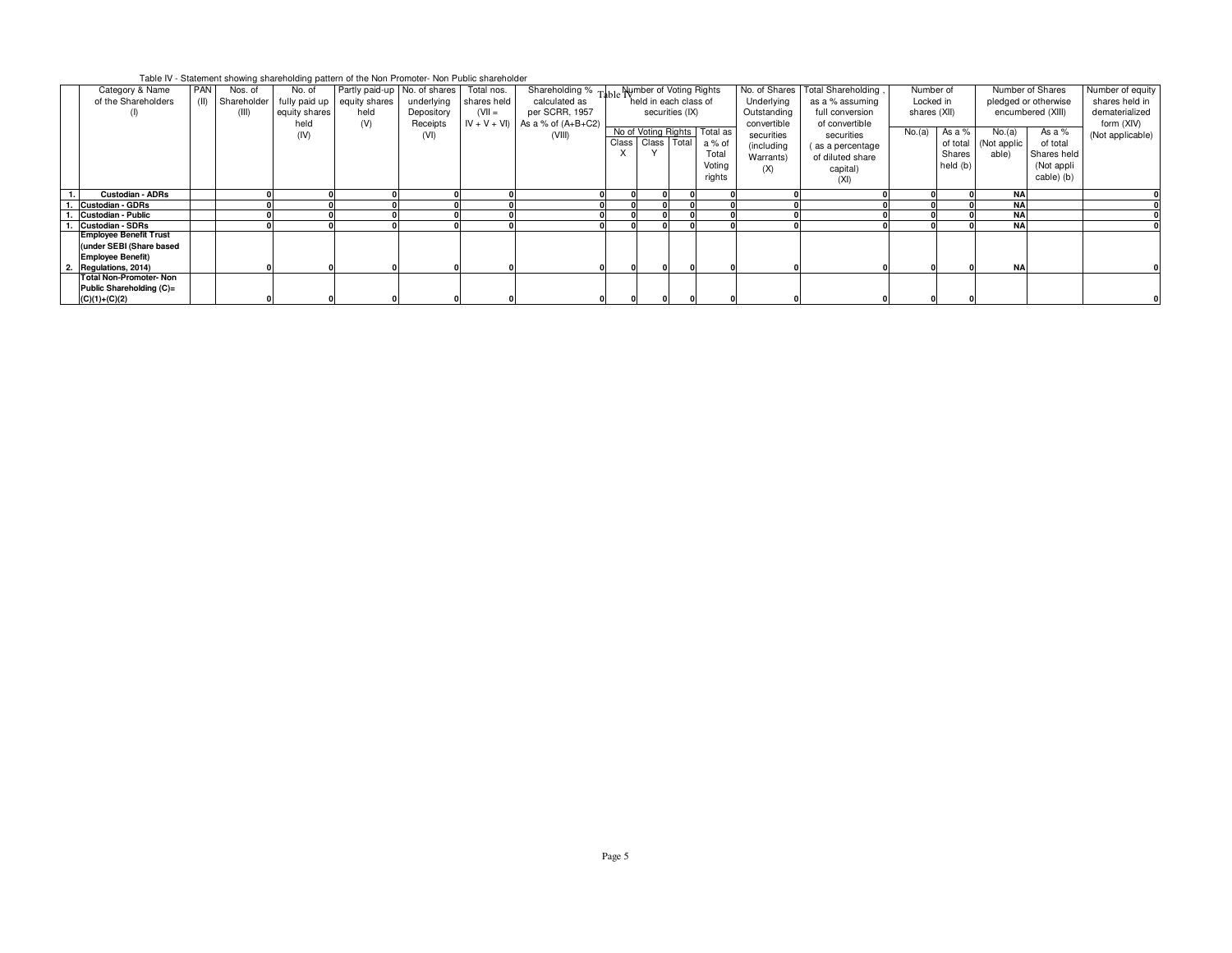## Table IV - Statement showing shareholding pattern of the Non Promoter- Non Public shareholder

|                               |            |                  |               | Table TV - Olatement Showing Shareholding pattern or the Non Fromoter- Non Fluonc Shareholder |            |             |                                              |          |                       |                              |               |                     |              |          |             |                      |                  |
|-------------------------------|------------|------------------|---------------|-----------------------------------------------------------------------------------------------|------------|-------------|----------------------------------------------|----------|-----------------------|------------------------------|---------------|---------------------|--------------|----------|-------------|----------------------|------------------|
| Category & Name               | <b>PAN</b> | Nos. of          | No. of        | Partly paid-up No. of shares                                                                  |            | Total nos.  | Shareholding % Table Number of Voting Rights |          |                       |                              | No. of Shares | Total Shareholding, | Number of    |          |             | Number of Shares     | Number of equity |
| of the Shareholders           |            | (II) Shareholder |               | fully paid up equity shares                                                                   | underlying | shares held | calculated as                                |          | held in each class of |                              | Underlying    | as a % assuming     | Locked in    |          |             | pledged or otherwise | shares held in   |
| (1)                           |            | (III)            | equity shares | held                                                                                          | Depository | $(VII =$    | per SCRR, 1957                               |          | securities (IX)       |                              | Outstanding   | full conversion     | shares (XII) |          |             | encumbered (XIII)    | dematerialized   |
|                               |            |                  | held          | (V)                                                                                           | Receipts   |             | $IV + V + VI$ ) As a % of $(A+B+C2)$         |          |                       |                              | convertible   | of convertible      |              |          |             |                      | form (XIV)       |
|                               |            |                  | (IV)          |                                                                                               | (VI)       |             | (VIII)                                       |          |                       | No of Voting Rights Total as | securities    | securities          | No.(a)       | As a %   | No.(a)      | As a %               | (Not applicable) |
|                               |            |                  |               |                                                                                               |            |             |                                              |          | Class Class Total     | a % of                       | (including    | as a percentage     |              | of total | (Not applic | of total             |                  |
|                               |            |                  |               |                                                                                               |            |             |                                              | $\times$ |                       | Total                        | Warrants)     | of diluted share    |              | Shares   | able)       | Shares held          |                  |
|                               |            |                  |               |                                                                                               |            |             |                                              |          |                       | Voting                       | (X)           | capital)            |              | held (b) |             | (Not appli           |                  |
|                               |            |                  |               |                                                                                               |            |             |                                              |          |                       | rights                       |               | (XI)                |              |          |             | cable) (b)           |                  |
|                               |            |                  |               |                                                                                               |            |             |                                              |          |                       |                              |               |                     |              |          |             |                      |                  |
| <b>Custodian - ADRs</b>       |            |                  |               |                                                                                               |            |             |                                              |          |                       |                              |               |                     |              |          | <b>NA</b>   |                      |                  |
| Custodian - GDRs              |            |                  |               |                                                                                               |            |             |                                              |          |                       |                              |               |                     |              |          | <b>NA</b>   |                      |                  |
| <b>Custodian - Public</b>     |            |                  |               |                                                                                               |            |             |                                              |          |                       |                              |               |                     |              |          | <b>NA</b>   |                      |                  |
| <b>Custodian - SDRs</b>       |            |                  |               |                                                                                               |            |             |                                              |          |                       |                              |               |                     |              |          | <b>NA</b>   |                      |                  |
| <b>Employee Benefit Trust</b> |            |                  |               |                                                                                               |            |             |                                              |          |                       |                              |               |                     |              |          |             |                      |                  |
| (under SEBI (Share based      |            |                  |               |                                                                                               |            |             |                                              |          |                       |                              |               |                     |              |          |             |                      |                  |
| <b>Employee Benefit)</b>      |            |                  |               |                                                                                               |            |             |                                              |          |                       |                              |               |                     |              |          |             |                      |                  |
| Regulations, 2014)            |            |                  |               |                                                                                               |            |             |                                              |          |                       |                              |               |                     |              |          | <b>NA</b>   |                      |                  |
| <b>Total Non-Promoter-Non</b> |            |                  |               |                                                                                               |            |             |                                              |          |                       |                              |               |                     |              |          |             |                      |                  |
| Public Shareholding (C)=      |            |                  |               |                                                                                               |            |             |                                              |          |                       |                              |               |                     |              |          |             |                      |                  |
| $(C)(1)+(C)(2)$               |            |                  |               |                                                                                               |            |             |                                              |          |                       |                              |               |                     |              |          |             |                      |                  |